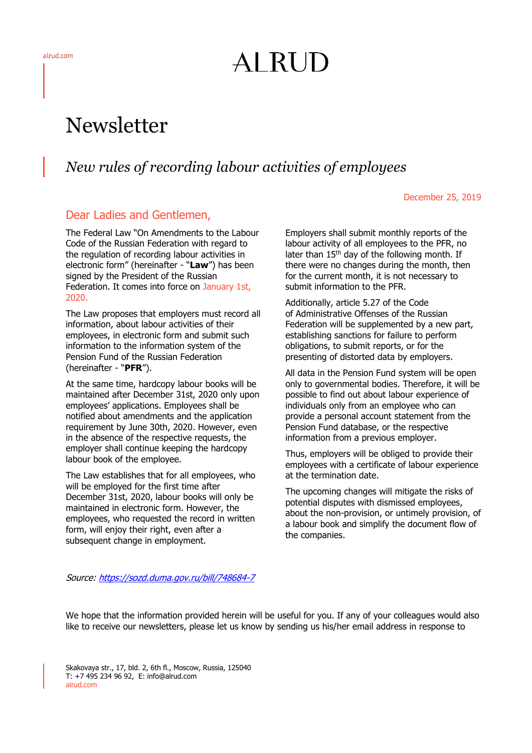# AI RUD

## Newsletter

## *New rules of recording labour activities of employees*

#### December 25, 2019

### Dear Ladies and Gentlemen,

The Federal Law "On Amendments to the Labour Code of the Russian Federation with regard to the regulation of recording labour activities in electronic form" (hereinafter - "**Law**") has been signed by the President of the Russian Federation. It comes into force on January 1st, 2020.

The Law proposes that employers must record all information, about labour activities of their employees, in electronic form and submit such information to the information system of the Pension Fund of the Russian Federation (hereinafter - "**PFR**").

At the same time, hardcopy labour books will be maintained after December 31st, 2020 only upon employees' applications. Employees shall be notified about amendments and the application requirement by June 30th, 2020. However, even in the absence of the respective requests, the employer shall continue keeping the hardcopy labour book of the employee.

The Law establishes that for all employees, who will be employed for the first time after December 31st, 2020, labour books will only be maintained in electronic form. However, the employees, who requested the record in written form, will enjoy their right, even after a subsequent change in employment.

Employers shall submit monthly reports of the labour activity of all employees to the PFR, no later than 15<sup>th</sup> day of the following month. If there were no changes during the month, then for the current month, it is not necessary to submit information to the PFR.

Additionally, article 5.27 of the Code of Administrative Offenses of the Russian Federation will be supplemented by a new part, establishing sanctions for failure to perform obligations, to submit reports, or for the presenting of distorted data by employers.

All data in the Pension Fund system will be open only to governmental bodies. Therefore, it will be possible to find out about labour experience of individuals only from an employee who can provide a personal account statement from the Pension Fund database, or the respective information from a previous employer.

Thus, employers will be obliged to provide their employees with a certificate of labour experience at the termination date.

The upcoming changes will mitigate the risks of potential disputes with dismissed employees, about the non-provision, or untimely provision, of a labour book and simplify the document flow of the companies.

Source:<https://sozd.duma.gov.ru/bill/748684-7>

We hope that the information provided herein will be useful for you. If any of your colleagues would also like to receive our newsletters, please let us know by sending us his/her email address in response to